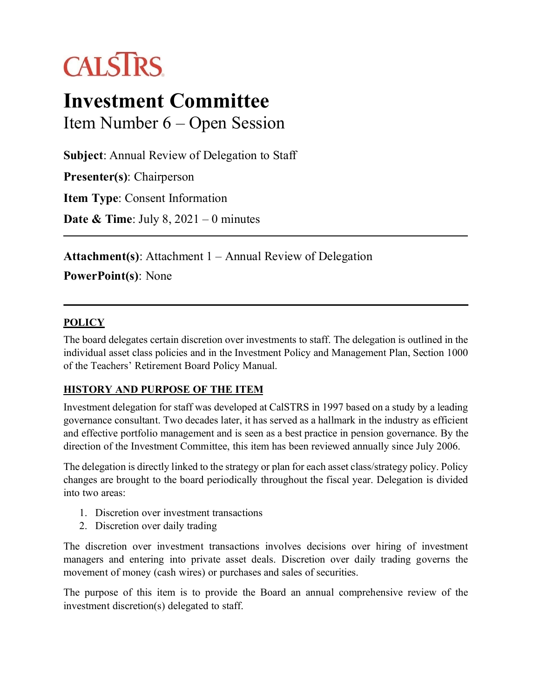# **CALSTRS**

# **Investment Committee** Item Number 6 – Open Session

**Subject**: Annual Review of Delegation to Staff

**Presenter(s)**: Chairperson

**Item Type**: Consent Information

**Date & Time**: July 8, 2021 – 0 minutes

**Attachment(s)**: Attachment 1 – Annual Review of Delegation **PowerPoint(s)**: None

#### **POLICY**

The board delegates certain discretion over investments to staff. The delegation is outlined in the individual asset class policies and in the Investment Policy and Management Plan, Section 1000 of the Teachers' Retirement Board Policy Manual.

#### **HISTORY AND PURPOSE OF THE ITEM**

Investment delegation for staff was developed at CalSTRS in 1997 based on a study by a leading governance consultant. Two decades later, it has served as a hallmark in the industry as efficient and effective portfolio management and is seen as a best practice in pension governance. By the direction of the Investment Committee, this item has been reviewed annually since July 2006.

The delegation is directly linked to the strategy or plan for each asset class/strategy policy. Policy changes are brought to the board periodically throughout the fiscal year. Delegation is divided into two areas:

- 1. Discretion over investment transactions
- 2. Discretion over daily trading

The discretion over investment transactions involves decisions over hiring of investment managers and entering into private asset deals. Discretion over daily trading governs the movement of money (cash wires) or purchases and sales of securities.

The purpose of this item is to provide the Board an annual comprehensive review of the investment discretion(s) delegated to staff.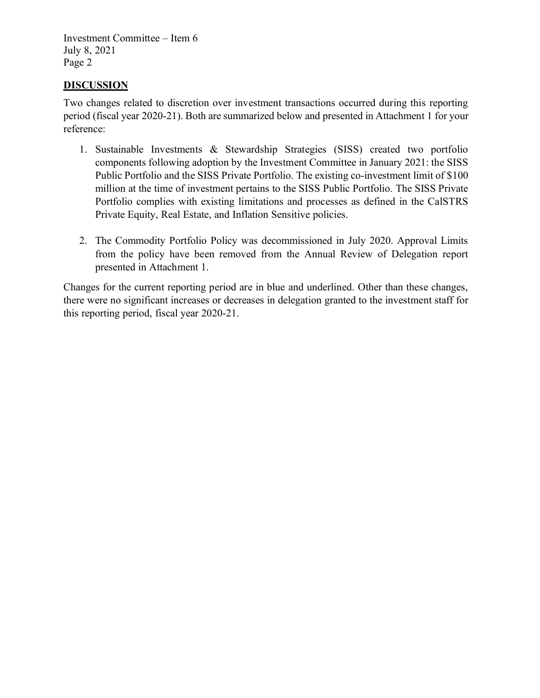Investment Committee – Item 6 July 8, 2021 Page 2

#### **DISCUSSION**

Two changes related to discretion over investment transactions occurred during this reporting period (fiscal year 2020-21). Both are summarized below and presented in Attachment 1 for your reference:

- 1. Sustainable Investments & Stewardship Strategies (SISS) created two portfolio components following adoption by the Investment Committee in January 2021: the SISS Public Portfolio and the SISS Private Portfolio. The existing co-investment limit of \$100 million at the time of investment pertains to the SISS Public Portfolio. The SISS Private Portfolio complies with existing limitations and processes as defined in the CalSTRS Private Equity, Real Estate, and Inflation Sensitive policies.
- 2. The Commodity Portfolio Policy was decommissioned in July 2020. Approval Limits from the policy have been removed from the Annual Review of Delegation report presented in Attachment 1.

Changes for the current reporting period are in blue and underlined. Other than these changes, there were no significant increases or decreases in delegation granted to the investment staff for this reporting period, fiscal year 2020-21.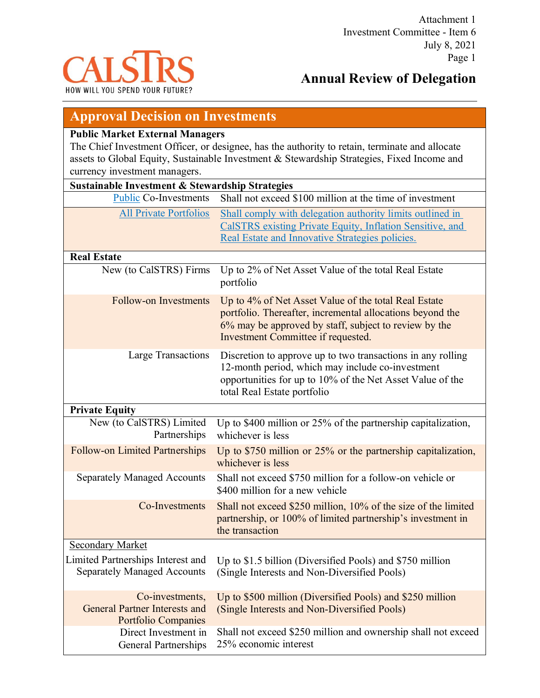

## **Annual Review of Delegation**

### **Approval Decision on Investments**

#### **Public Market External Managers**

The Chief Investment Officer, or designee, has the authority to retain, terminate and allocate assets to Global Equity, Sustainable Investment & Stewardship Strategies, Fixed Income and currency investment managers.

| Sustainable Investment & Stewardship Strategies                                       |                                                                                                                                                                                                                  |  |  |  |  |
|---------------------------------------------------------------------------------------|------------------------------------------------------------------------------------------------------------------------------------------------------------------------------------------------------------------|--|--|--|--|
| <b>Public Co-Investments</b>                                                          | Shall not exceed \$100 million at the time of investment                                                                                                                                                         |  |  |  |  |
| <b>All Private Portfolios</b>                                                         | Shall comply with delegation authority limits outlined in<br>CalSTRS existing Private Equity, Inflation Sensitive, and<br>Real Estate and Innovative Strategies policies.                                        |  |  |  |  |
| <b>Real Estate</b>                                                                    |                                                                                                                                                                                                                  |  |  |  |  |
| New (to CalSTRS) Firms                                                                | Up to 2% of Net Asset Value of the total Real Estate<br>portfolio                                                                                                                                                |  |  |  |  |
| <b>Follow-on Investments</b>                                                          | Up to 4% of Net Asset Value of the total Real Estate<br>portfolio. Thereafter, incremental allocations beyond the<br>6% may be approved by staff, subject to review by the<br>Investment Committee if requested. |  |  |  |  |
| <b>Large Transactions</b>                                                             | Discretion to approve up to two transactions in any rolling<br>12-month period, which may include co-investment<br>opportunities for up to 10% of the Net Asset Value of the<br>total Real Estate portfolio      |  |  |  |  |
| <b>Private Equity</b>                                                                 |                                                                                                                                                                                                                  |  |  |  |  |
| New (to CalSTRS) Limited<br>Partnerships                                              | Up to \$400 million or 25% of the partnership capitalization,<br>whichever is less                                                                                                                               |  |  |  |  |
| <b>Follow-on Limited Partnerships</b>                                                 | Up to $$750$ million or $25\%$ or the partnership capitalization,<br>whichever is less                                                                                                                           |  |  |  |  |
| <b>Separately Managed Accounts</b>                                                    | Shall not exceed \$750 million for a follow-on vehicle or<br>\$400 million for a new vehicle                                                                                                                     |  |  |  |  |
| Co-Investments                                                                        | Shall not exceed \$250 million, 10% of the size of the limited<br>partnership, or 100% of limited partnership's investment in<br>the transaction                                                                 |  |  |  |  |
| <b>Secondary Market</b>                                                               |                                                                                                                                                                                                                  |  |  |  |  |
| Limited Partnerships Interest and<br><b>Separately Managed Accounts</b>               | Up to \$1.5 billion (Diversified Pools) and \$750 million<br>(Single Interests and Non-Diversified Pools)                                                                                                        |  |  |  |  |
| Co-investments,<br><b>General Partner Interests and</b><br><b>Portfolio Companies</b> | Up to \$500 million (Diversified Pools) and \$250 million<br>(Single Interests and Non-Diversified Pools)                                                                                                        |  |  |  |  |
| Direct Investment in<br><b>General Partnerships</b>                                   | Shall not exceed \$250 million and ownership shall not exceed<br>25% economic interest                                                                                                                           |  |  |  |  |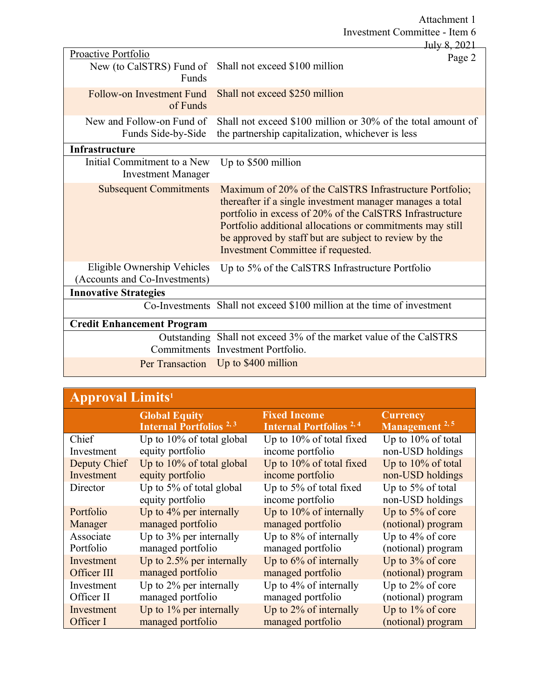Attachment 1 Investment Committee - Item 6

|                                                                 | July 8, 2021                                                                                                                                                                                                                                                                                                                                 |
|-----------------------------------------------------------------|----------------------------------------------------------------------------------------------------------------------------------------------------------------------------------------------------------------------------------------------------------------------------------------------------------------------------------------------|
| Proactive Portfolio<br>New (to CalSTRS) Fund of<br><b>Funds</b> | Page 2<br>Shall not exceed \$100 million                                                                                                                                                                                                                                                                                                     |
| Follow-on Investment Fund<br>of Funds                           | Shall not exceed \$250 million                                                                                                                                                                                                                                                                                                               |
| New and Follow-on Fund of<br>Funds Side-by-Side                 | Shall not exceed \$100 million or 30% of the total amount of<br>the partnership capitalization, whichever is less                                                                                                                                                                                                                            |
| Infrastructure                                                  |                                                                                                                                                                                                                                                                                                                                              |
| Initial Commitment to a New<br><b>Investment Manager</b>        | Up to \$500 million                                                                                                                                                                                                                                                                                                                          |
| <b>Subsequent Commitments</b>                                   | Maximum of 20% of the CalSTRS Infrastructure Portfolio;<br>thereafter if a single investment manager manages a total<br>portfolio in excess of 20% of the CalSTRS Infrastructure<br>Portfolio additional allocations or commitments may still<br>be approved by staff but are subject to review by the<br>Investment Committee if requested. |
| Eligible Ownership Vehicles<br>(Accounts and Co-Investments)    | Up to 5% of the CalSTRS Infrastructure Portfolio                                                                                                                                                                                                                                                                                             |
| <b>Innovative Strategies</b>                                    |                                                                                                                                                                                                                                                                                                                                              |
|                                                                 | Co-Investments Shall not exceed \$100 million at the time of investment                                                                                                                                                                                                                                                                      |
| <b>Credit Enhancement Program</b>                               |                                                                                                                                                                                                                                                                                                                                              |
|                                                                 | Outstanding Shall not exceed 3% of the market value of the CalSTRS<br>Commitments Investment Portfolio.                                                                                                                                                                                                                                      |
| Per Transaction                                                 | Up to \$400 million                                                                                                                                                                                                                                                                                                                          |

| <b>Approval Limits</b> <sup>1</sup> |                                                                   |                                                                  |                              |  |  |  |
|-------------------------------------|-------------------------------------------------------------------|------------------------------------------------------------------|------------------------------|--|--|--|
|                                     | <b>Global Equity</b><br><b>Internal Portfolios</b> <sup>2,3</sup> | <b>Fixed Income</b><br><b>Internal Portfolios</b> <sup>2,4</sup> | Currency<br>Management $2,5$ |  |  |  |
| Chief                               | Up to $10\%$ of total global                                      | Up to 10% of total fixed                                         | Up to $10\%$ of total        |  |  |  |
| Investment                          | equity portfolio                                                  | income portfolio                                                 | non-USD holdings             |  |  |  |
| Deputy Chief                        | Up to $10\%$ of total global                                      | Up to 10% of total fixed                                         | Up to 10% of total           |  |  |  |
| Investment                          | equity portfolio                                                  | income portfolio                                                 | non-USD holdings             |  |  |  |
| Director                            | Up to 5% of total global                                          | Up to 5% of total fixed                                          | Up to $5\%$ of total         |  |  |  |
|                                     | equity portfolio                                                  | income portfolio                                                 | non-USD holdings             |  |  |  |
| Portfolio                           | Up to $4\%$ per internally                                        | Up to $10\%$ of internally                                       | Up to $5\%$ of core          |  |  |  |
| Manager                             | managed portfolio                                                 | managed portfolio                                                | (notional) program           |  |  |  |
| Associate                           | Up to $3\%$ per internally                                        | Up to 8% of internally                                           | Up to $4\%$ of core          |  |  |  |
| Portfolio                           | managed portfolio                                                 | managed portfolio                                                | (notional) program           |  |  |  |
| Investment                          | Up to $2.5\%$ per internally                                      | Up to $6\%$ of internally                                        | Up to $3\%$ of core          |  |  |  |
| Officer III                         | managed portfolio                                                 | managed portfolio                                                | (notional) program           |  |  |  |
| Investment                          | Up to $2\%$ per internally                                        | Up to 4% of internally                                           | Up to $2\%$ of core          |  |  |  |
| Officer II                          | managed portfolio                                                 | managed portfolio                                                | (notional) program           |  |  |  |
| Investment                          | Up to $1\%$ per internally                                        | Up to $2\%$ of internally                                        | Up to $1\%$ of core          |  |  |  |
| Officer I                           | managed portfolio                                                 | managed portfolio                                                | (notional) program           |  |  |  |